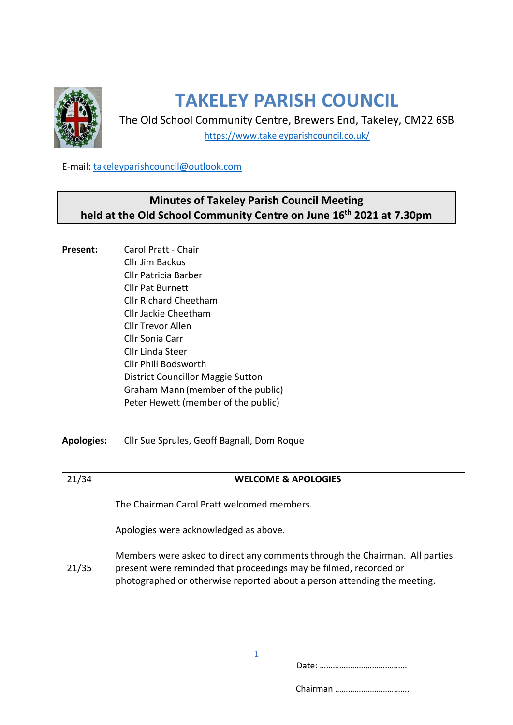

## **TAKELEY PARISH COUNCIL**

The Old School Community Centre, Brewers End, Takeley, CM22 6SB <https://www.takeleyparishcouncil.co.uk/>

E-mail: [takeleyparishcouncil@outlook.com](mailto:takeleyparishcouncil@outlook.com)

## **Minutes of Takeley Parish Council Meeting held at the Old School Community Centre on June 16th 2021 at 7.30pm**

**Present:** Carol Pratt - Chair Cllr Jim Backus Cllr Patricia Barber Cllr Pat Burnett Cllr Richard Cheetham Cllr Jackie Cheetham Cllr Trevor Allen Cllr Sonia Carr Cllr Linda Steer Cllr Phill Bodsworth District Councillor Maggie Sutton Graham Mann(member of the public) Peter Hewett (member of the public)

**Apologies:** Cllr Sue Sprules, Geoff Bagnall, Dom Roque

| 21/34 | <b>WELCOME &amp; APOLOGIES</b>                                                                                                                                                                                               |
|-------|------------------------------------------------------------------------------------------------------------------------------------------------------------------------------------------------------------------------------|
| 21/35 | The Chairman Carol Pratt welcomed members.                                                                                                                                                                                   |
|       | Apologies were acknowledged as above.                                                                                                                                                                                        |
|       | Members were asked to direct any comments through the Chairman. All parties<br>present were reminded that proceedings may be filmed, recorded or<br>photographed or otherwise reported about a person attending the meeting. |

1

Date: ………………………………….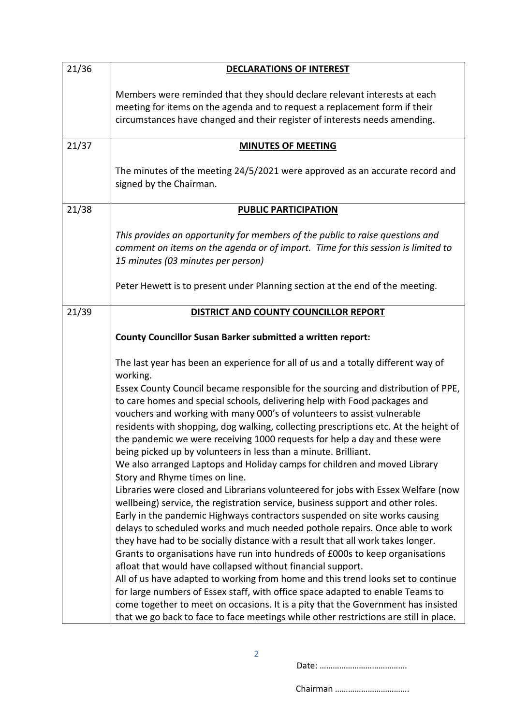| 21/36 | <b>DECLARATIONS OF INTEREST</b>                                                                                                                                                                                                                                                                                                                                                                                                                                                                                                                                                                                                                                                                                                                                                                                                                                                                                           |
|-------|---------------------------------------------------------------------------------------------------------------------------------------------------------------------------------------------------------------------------------------------------------------------------------------------------------------------------------------------------------------------------------------------------------------------------------------------------------------------------------------------------------------------------------------------------------------------------------------------------------------------------------------------------------------------------------------------------------------------------------------------------------------------------------------------------------------------------------------------------------------------------------------------------------------------------|
|       | Members were reminded that they should declare relevant interests at each<br>meeting for items on the agenda and to request a replacement form if their<br>circumstances have changed and their register of interests needs amending.                                                                                                                                                                                                                                                                                                                                                                                                                                                                                                                                                                                                                                                                                     |
| 21/37 | <b>MINUTES OF MEETING</b>                                                                                                                                                                                                                                                                                                                                                                                                                                                                                                                                                                                                                                                                                                                                                                                                                                                                                                 |
|       | The minutes of the meeting 24/5/2021 were approved as an accurate record and<br>signed by the Chairman.                                                                                                                                                                                                                                                                                                                                                                                                                                                                                                                                                                                                                                                                                                                                                                                                                   |
| 21/38 | <b>PUBLIC PARTICIPATION</b>                                                                                                                                                                                                                                                                                                                                                                                                                                                                                                                                                                                                                                                                                                                                                                                                                                                                                               |
|       | This provides an opportunity for members of the public to raise questions and<br>comment on items on the agenda or of import. Time for this session is limited to<br>15 minutes (03 minutes per person)                                                                                                                                                                                                                                                                                                                                                                                                                                                                                                                                                                                                                                                                                                                   |
|       | Peter Hewett is to present under Planning section at the end of the meeting.                                                                                                                                                                                                                                                                                                                                                                                                                                                                                                                                                                                                                                                                                                                                                                                                                                              |
| 21/39 | DISTRICT AND COUNTY COUNCILLOR REPORT                                                                                                                                                                                                                                                                                                                                                                                                                                                                                                                                                                                                                                                                                                                                                                                                                                                                                     |
|       | <b>County Councillor Susan Barker submitted a written report:</b>                                                                                                                                                                                                                                                                                                                                                                                                                                                                                                                                                                                                                                                                                                                                                                                                                                                         |
|       | The last year has been an experience for all of us and a totally different way of<br>working.                                                                                                                                                                                                                                                                                                                                                                                                                                                                                                                                                                                                                                                                                                                                                                                                                             |
|       | Essex County Council became responsible for the sourcing and distribution of PPE,<br>to care homes and special schools, delivering help with Food packages and<br>vouchers and working with many 000's of volunteers to assist vulnerable<br>residents with shopping, dog walking, collecting prescriptions etc. At the height of<br>the pandemic we were receiving 1000 requests for help a day and these were<br>being picked up by volunteers in less than a minute. Brilliant.<br>We also arranged Laptops and Holiday camps for children and moved Library<br>Story and Rhyme times on line.                                                                                                                                                                                                                                                                                                                         |
|       | Libraries were closed and Librarians volunteered for jobs with Essex Welfare (now<br>wellbeing) service, the registration service, business support and other roles.<br>Early in the pandemic Highways contractors suspended on site works causing<br>delays to scheduled works and much needed pothole repairs. Once able to work<br>they have had to be socially distance with a result that all work takes longer.<br>Grants to organisations have run into hundreds of £000s to keep organisations<br>afloat that would have collapsed without financial support.<br>All of us have adapted to working from home and this trend looks set to continue<br>for large numbers of Essex staff, with office space adapted to enable Teams to<br>come together to meet on occasions. It is a pity that the Government has insisted<br>that we go back to face to face meetings while other restrictions are still in place. |

Date: ………………………………….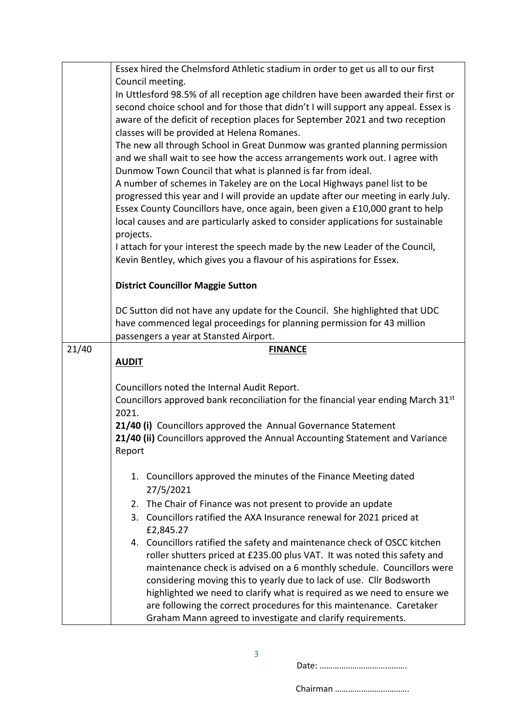|       | Essex hired the Chelmsford Athletic stadium in order to get us all to our first                                                                                 |
|-------|-----------------------------------------------------------------------------------------------------------------------------------------------------------------|
|       | Council meeting.                                                                                                                                                |
|       | In Uttlesford 98.5% of all reception age children have been awarded their first or                                                                              |
|       | second choice school and for those that didn't I will support any appeal. Essex is                                                                              |
|       | aware of the deficit of reception places for September 2021 and two reception                                                                                   |
|       | classes will be provided at Helena Romanes.                                                                                                                     |
|       | The new all through School in Great Dunmow was granted planning permission                                                                                      |
|       | and we shall wait to see how the access arrangements work out. I agree with                                                                                     |
|       | Dunmow Town Council that what is planned is far from ideal.                                                                                                     |
|       | A number of schemes in Takeley are on the Local Highways panel list to be<br>progressed this year and I will provide an update after our meeting in early July. |
|       | Essex County Councillors have, once again, been given a £10,000 grant to help                                                                                   |
|       | local causes and are particularly asked to consider applications for sustainable                                                                                |
|       | projects.                                                                                                                                                       |
|       | I attach for your interest the speech made by the new Leader of the Council,                                                                                    |
|       | Kevin Bentley, which gives you a flavour of his aspirations for Essex.                                                                                          |
|       |                                                                                                                                                                 |
|       | <b>District Councillor Maggie Sutton</b>                                                                                                                        |
|       |                                                                                                                                                                 |
|       | DC Sutton did not have any update for the Council. She highlighted that UDC                                                                                     |
|       | have commenced legal proceedings for planning permission for 43 million                                                                                         |
|       | passengers a year at Stansted Airport.                                                                                                                          |
| 21/40 | <b>FINANCE</b>                                                                                                                                                  |
|       | <b>AUDIT</b>                                                                                                                                                    |
|       | Councillors noted the Internal Audit Report.                                                                                                                    |
|       | Councillors approved bank reconciliation for the financial year ending March 31st                                                                               |
|       | 2021.                                                                                                                                                           |
|       | 21/40 (i) Councillors approved the Annual Governance Statement                                                                                                  |
|       | 21/40 (ii) Councillors approved the Annual Accounting Statement and Variance                                                                                    |
|       | Report                                                                                                                                                          |
|       |                                                                                                                                                                 |
|       | 1. Councillors approved the minutes of the Finance Meeting dated                                                                                                |
|       |                                                                                                                                                                 |
|       | 27/5/2021                                                                                                                                                       |
|       | 2. The Chair of Finance was not present to provide an update                                                                                                    |
|       | 3. Councillors ratified the AXA Insurance renewal for 2021 priced at                                                                                            |
|       | £2,845.27                                                                                                                                                       |
|       | 4. Councillors ratified the safety and maintenance check of OSCC kitchen                                                                                        |
|       | roller shutters priced at £235.00 plus VAT. It was noted this safety and                                                                                        |
|       | maintenance check is advised on a 6 monthly schedule. Councillors were                                                                                          |
|       | considering moving this to yearly due to lack of use. Cllr Bodsworth                                                                                            |
|       | highlighted we need to clarify what is required as we need to ensure we<br>are following the correct procedures for this maintenance. Caretaker                 |

Date: ………………………………….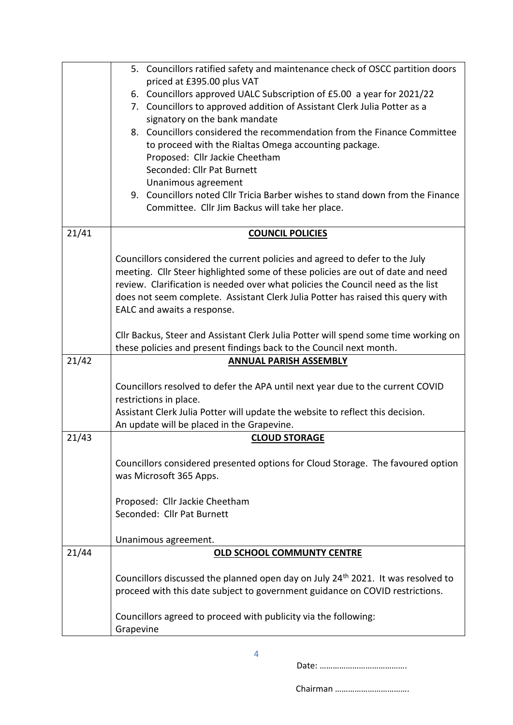|       | 5. Councillors ratified safety and maintenance check of OSCC partition doors                        |
|-------|-----------------------------------------------------------------------------------------------------|
|       | priced at £395.00 plus VAT<br>6. Councillors approved UALC Subscription of £5.00 a year for 2021/22 |
|       | 7. Councillors to approved addition of Assistant Clerk Julia Potter as a                            |
|       | signatory on the bank mandate                                                                       |
|       | 8. Councillors considered the recommendation from the Finance Committee                             |
|       | to proceed with the Rialtas Omega accounting package.                                               |
|       | Proposed: Cllr Jackie Cheetham                                                                      |
|       | Seconded: Cllr Pat Burnett                                                                          |
|       | Unanimous agreement                                                                                 |
|       | 9. Councillors noted Cllr Tricia Barber wishes to stand down from the Finance                       |
|       | Committee. Cllr Jim Backus will take her place.                                                     |
| 21/41 | <b>COUNCIL POLICIES</b>                                                                             |
|       |                                                                                                     |
|       | Councillors considered the current policies and agreed to defer to the July                         |
|       | meeting. Cllr Steer highlighted some of these policies are out of date and need                     |
|       | review. Clarification is needed over what policies the Council need as the list                     |
|       | does not seem complete. Assistant Clerk Julia Potter has raised this query with                     |
|       | EALC and awaits a response.                                                                         |
|       | Cllr Backus, Steer and Assistant Clerk Julia Potter will spend some time working on                 |
|       | these policies and present findings back to the Council next month.                                 |
| 21/42 | <b>ANNUAL PARISH ASSEMBLY</b>                                                                       |
|       | Councillors resolved to defer the APA until next year due to the current COVID                      |
|       | restrictions in place.                                                                              |
|       | Assistant Clerk Julia Potter will update the website to reflect this decision.                      |
|       | An update will be placed in the Grapevine.                                                          |
| 21/43 | <b>CLOUD STORAGE</b>                                                                                |
|       | Councillors considered presented options for Cloud Storage. The favoured option                     |
|       | was Microsoft 365 Apps.                                                                             |
|       |                                                                                                     |
|       | Proposed: Cllr Jackie Cheetham                                                                      |
|       | Seconded: Cllr Pat Burnett                                                                          |
|       |                                                                                                     |
|       | Unanimous agreement.                                                                                |
| 21/44 | <b>OLD SCHOOL COMMUNTY CENTRE</b>                                                                   |
|       | Councillors discussed the planned open day on July 24 <sup>th</sup> 2021. It was resolved to        |
|       | proceed with this date subject to government guidance on COVID restrictions.                        |
|       |                                                                                                     |
|       | Councillors agreed to proceed with publicity via the following:                                     |
|       | Grapevine                                                                                           |

Date: ………………………………….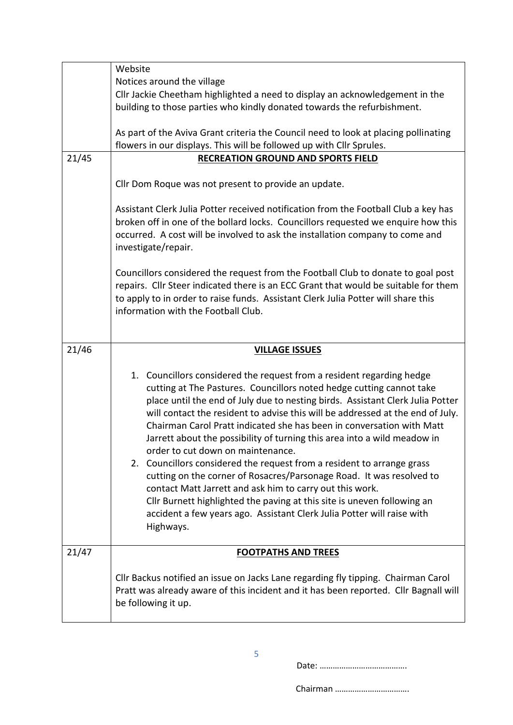|       | Website                                                                                                     |
|-------|-------------------------------------------------------------------------------------------------------------|
|       | Notices around the village                                                                                  |
|       | Cllr Jackie Cheetham highlighted a need to display an acknowledgement in the                                |
|       | building to those parties who kindly donated towards the refurbishment.                                     |
|       |                                                                                                             |
|       | As part of the Aviva Grant criteria the Council need to look at placing pollinating                         |
|       | flowers in our displays. This will be followed up with Cllr Sprules.                                        |
| 21/45 | <b>RECREATION GROUND AND SPORTS FIELD</b>                                                                   |
|       |                                                                                                             |
|       | Cllr Dom Roque was not present to provide an update.                                                        |
|       |                                                                                                             |
|       | Assistant Clerk Julia Potter received notification from the Football Club a key has                         |
|       | broken off in one of the bollard locks. Councillors requested we enquire how this                           |
|       | occurred. A cost will be involved to ask the installation company to come and                               |
|       | investigate/repair.                                                                                         |
|       |                                                                                                             |
|       | Councillors considered the request from the Football Club to donate to goal post                            |
|       | repairs. Cllr Steer indicated there is an ECC Grant that would be suitable for them                         |
|       | to apply to in order to raise funds. Assistant Clerk Julia Potter will share this                           |
|       | information with the Football Club.                                                                         |
|       |                                                                                                             |
|       |                                                                                                             |
|       |                                                                                                             |
|       |                                                                                                             |
| 21/46 | <b>VILLAGE ISSUES</b>                                                                                       |
|       |                                                                                                             |
|       | 1. Councillors considered the request from a resident regarding hedge                                       |
|       | cutting at The Pastures. Councillors noted hedge cutting cannot take                                        |
|       | place until the end of July due to nesting birds. Assistant Clerk Julia Potter                              |
|       | will contact the resident to advise this will be addressed at the end of July.                              |
|       | Chairman Carol Pratt indicated she has been in conversation with Matt                                       |
|       | Jarrett about the possibility of turning this area into a wild meadow in                                    |
|       | order to cut down on maintenance.                                                                           |
|       | 2. Councillors considered the request from a resident to arrange grass                                      |
|       | cutting on the corner of Rosacres/Parsonage Road. It was resolved to                                        |
|       | contact Matt Jarrett and ask him to carry out this work.                                                    |
|       | Cllr Burnett highlighted the paving at this site is uneven following an                                     |
|       | accident a few years ago. Assistant Clerk Julia Potter will raise with                                      |
|       | Highways.                                                                                                   |
|       |                                                                                                             |
| 21/47 | <b>FOOTPATHS AND TREES</b>                                                                                  |
|       |                                                                                                             |
|       | Cllr Backus notified an issue on Jacks Lane regarding fly tipping. Chairman Carol                           |
|       | Pratt was already aware of this incident and it has been reported. Cllr Bagnall will<br>be following it up. |

Date: ………………………………….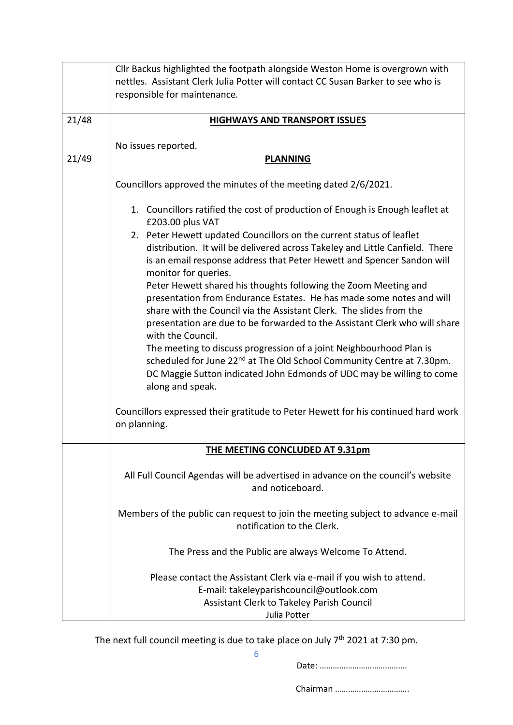|       | Cllr Backus highlighted the footpath alongside Weston Home is overgrown with                        |
|-------|-----------------------------------------------------------------------------------------------------|
|       | nettles. Assistant Clerk Julia Potter will contact CC Susan Barker to see who is                    |
|       | responsible for maintenance.                                                                        |
|       |                                                                                                     |
| 21/48 | <b>HIGHWAYS AND TRANSPORT ISSUES</b>                                                                |
|       |                                                                                                     |
|       | No issues reported.                                                                                 |
| 21/49 | <b>PLANNING</b>                                                                                     |
|       | Councillors approved the minutes of the meeting dated 2/6/2021.                                     |
|       | 1. Councillors ratified the cost of production of Enough is Enough leaflet at<br>£203.00 plus VAT   |
|       | 2. Peter Hewett updated Councillors on the current status of leaflet                                |
|       | distribution. It will be delivered across Takeley and Little Canfield. There                        |
|       | is an email response address that Peter Hewett and Spencer Sandon will<br>monitor for queries.      |
|       | Peter Hewett shared his thoughts following the Zoom Meeting and                                     |
|       | presentation from Endurance Estates. He has made some notes and will                                |
|       | share with the Council via the Assistant Clerk. The slides from the                                 |
|       | presentation are due to be forwarded to the Assistant Clerk who will share                          |
|       | with the Council.                                                                                   |
|       | The meeting to discuss progression of a joint Neighbourhood Plan is                                 |
|       | scheduled for June 22 <sup>nd</sup> at The Old School Community Centre at 7.30pm.                   |
|       | DC Maggie Sutton indicated John Edmonds of UDC may be willing to come                               |
|       | along and speak.                                                                                    |
|       |                                                                                                     |
|       | Councillors expressed their gratitude to Peter Hewett for his continued hard work                   |
|       | on planning.                                                                                        |
|       | THE MEETING CONCLUDED AT 9.31pm                                                                     |
|       |                                                                                                     |
|       | All Full Council Agendas will be advertised in advance on the council's website<br>and noticeboard. |
|       |                                                                                                     |
|       | Members of the public can request to join the meeting subject to advance e-mail                     |
|       | notification to the Clerk.                                                                          |
|       | The Press and the Public are always Welcome To Attend.                                              |
|       | Please contact the Assistant Clerk via e-mail if you wish to attend.                                |
|       | E-mail: takeleyparishcouncil@outlook.com                                                            |
|       | Assistant Clerk to Takeley Parish Council                                                           |
|       | Julia Potter                                                                                        |

The next full council meeting is due to take place on July  $7<sup>th</sup>$  2021 at 7:30 pm.

Chairman …………………………….

6